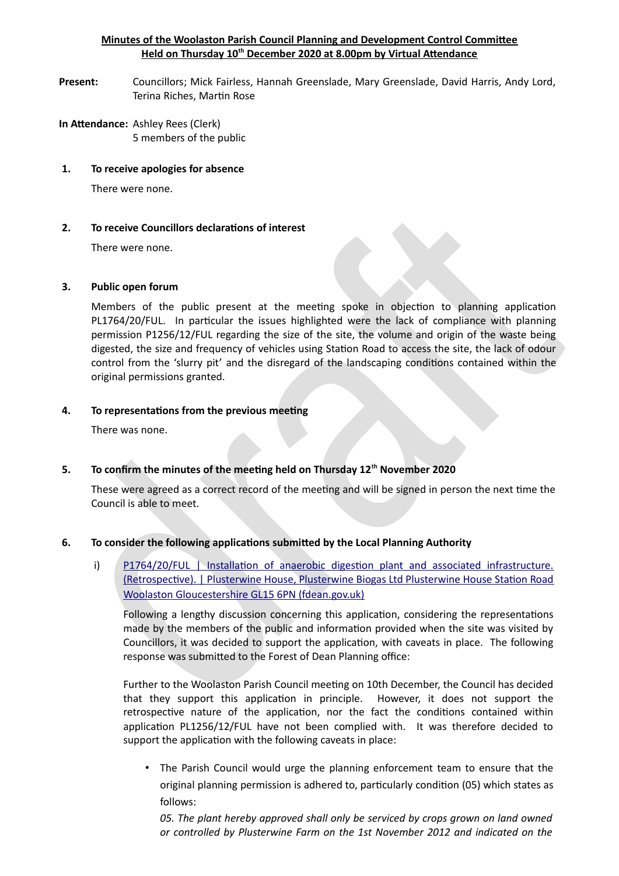### **Minutes of the Woolaston Parish Council Planning and Development Control Commitee Held on Thursday 10th December 2020 at 8.00pm by Virtual Atendance**

- **Present:** Councillors; Mick Fairless, Hannah Greenslade, Mary Greenslade, David Harris, Andy Lord, Terina Riches, Martin Rose
- **In Atendance:** Ashley Rees (Clerk) 5 members of the public
- **1. To receive apologies for absence**

There were none.

### **2. To receive Councillors declaratons of interest**

There were none.

### **3. Public open forum**

Members of the public present at the meeting spoke in objection to planning application PL1764/20/FUL. In particular the issues highlighted were the lack of compliance with planning permission P1256/12/FUL regarding the size of the site, the volume and origin of the waste being digested, the size and frequency of vehicles using Station Road to access the site, the lack of odour control from the 'slurry pit' and the disregard of the landscaping conditions contained within the original permissions granted.

### **4. To representatons from the previous meetng**

There was none.

# **5. To confirm the minutes of the meetng held on Thursday 12th November 2020**

These were agreed as a correct record of the meeting and will be signed in person the next time the Council is able to meet.

# **6. To consider the following applicatons submited by the Local Planning Authority**

i) P1764/20/FUL | Installation of anaerobic digestion plant and associated infrastructure. (Retrospective). | Plusterwine House, Plusterwine Biogas Ltd Plusterwine House Station Road Woolaston Gloucestershire GL15 6PN (fdean.gov.uk)

Following a lengthy discussion concerning this application, considering the representations made by the members of the public and information provided when the site was visited by Councillors, it was decided to support the application, with caveats in place. The following response was submitted to the Forest of Dean Planning office:

Further to the Woolaston Parish Council meeting on 10th December, the Council has decided that they support this application in principle. However, it does not support the retrospective nature of the application, nor the fact the conditions contained within application PL1256/12/FUL have not been complied with. It was therefore decided to support the application with the following caveats in place:

• The Parish Council would urge the planning enforcement team to ensure that the original planning permission is adhered to, particularly condition (05) which states as follows:

*05. The plant hereby approved shall only be serviced by crops grown on land owned or controlled by Plusterwine Farm on the 1st November 2012 and indicated on the*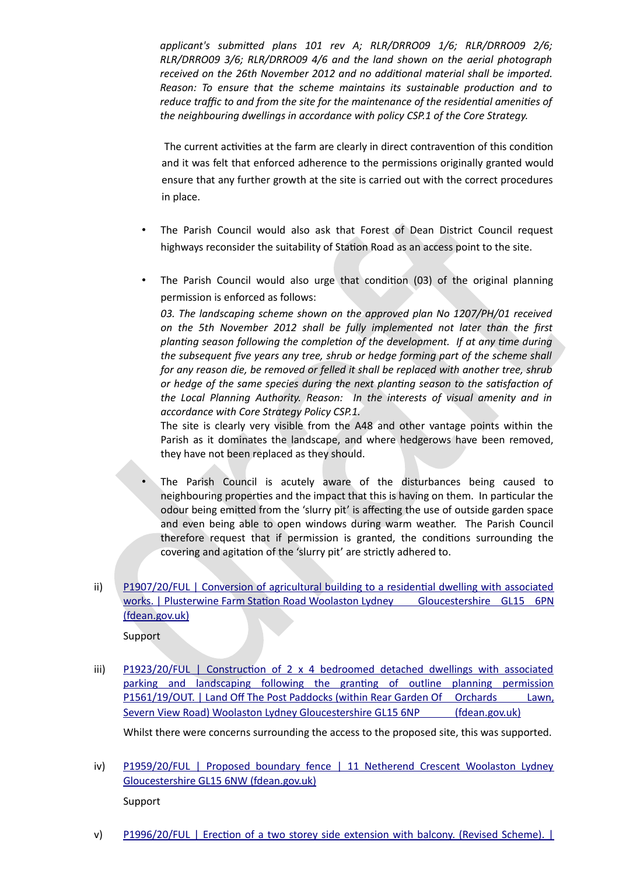*applicant's submited plans 101 rev A; RLR/DRRO09 1/6; RLR/DRRO09 2/6; RLR/DRRO09 3/6; RLR/DRRO09 4/6 and the land shown on the aerial photograph received on the 26th November 2012 and no additonal material shall be imported. Reason: To ensure that the scheme maintains its sustainable producton and to reduce traffic to and from the site for the maintenance of the residential amenities of the neighbouring dwellings in accordance with policy CSP.1 of the Core Strategy.*

The current activities at the farm are clearly in direct contravention of this condition and it was felt that enforced adherence to the permissions originally granted would ensure that any further growth at the site is carried out with the correct procedures in place.

- The Parish Council would also ask that Forest of Dean District Council request highways reconsider the suitability of Station Road as an access point to the site.
- The Parish Council would also urge that condition  $(03)$  of the original planning permission is enforced as follows:

*03. The landscaping scheme shown on the approved plan No 1207/PH/01 received on the 5th November 2012 shall be fully implemented not later than the frst plantng season following the completon of the development. If at any tme during the subsequent fve years any tree, shrub or hedge forming part of the scheme shall for any reason die, be removed or felled it shall be replaced with another tree, shrub or hedge of the same species during the next plantng season to the satsfacton of the Local Planning Authority. Reason: In the interests of visual amenity and in accordance with Core Strategy Policy CSP.1.*

The site is clearly very visible from the A48 and other vantage points within the Parish as it dominates the landscape, and where hedgerows have been removed, they have not been replaced as they should.

- The Parish Council is acutely aware of the disturbances being caused to neighbouring properties and the impact that this is having on them. In particular the odour being emitted from the 'slurry pit' is affecting the use of outside garden space and even being able to open windows during warm weather. The Parish Council therefore request that if permission is granted, the conditions surrounding the covering and agitation of the 'slurry pit' are strictly adhered to.
- $ii)$  P1907/20/FUL | Conversion of agricultural building to a residential dwelling with associated works. | Plusterwine Farm Station Road Woolaston Lydney Gloucestershire GL15 6PN (fdean.gov.uk)

Support

iii) P1923/20/FUL | Construction of 2 x 4 bedroomed detached dwellings with associated parking and landscaping following the granting of outline planning permission P1561/19/OUT. | Land Off The Post Paddocks (within Rear Garden Of Orchards Lawn, Severn View Road) Woolaston Lydney Gloucestershire GL15 6NP (fdean.gov.uk)

Whilst there were concerns surrounding the access to the proposed site, this was supported.

iv) [P1959/20/FUL | Proposed boundary fence | 11 Netherend Crescent Woolaston Lydney](https://publicaccess.fdean.gov.uk/online-applications/applicationDetails.do?activeTab=summary&keyVal=QK3RUNHIMMI00&prevPage=inTray) Gloucestershire GL15 6NW (fdean.gov.uk)

Support

v) P1996/20/FUL | Erection of a two storey side extension with balcony. (Revised Scheme). |